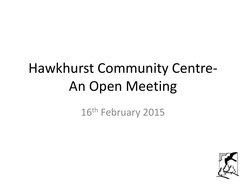# Hawkhurst Community Centre-An Open Meeting

16<sup>th</sup> February 2015

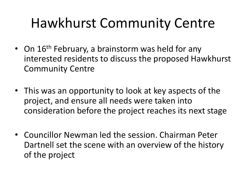### Hawkhurst Community Centre

- On 16<sup>th</sup> February, a brainstorm was held for any interested residents to discuss the proposed Hawkhurst Community Centre
- This was an opportunity to look at key aspects of the project, and ensure all needs were taken into consideration before the project reaches its next stage
- Councillor Newman led the session. Chairman Peter Dartnell set the scene with an overview of the history of the project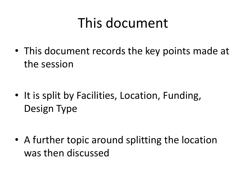### This document

• This document records the key points made at the session

• It is split by Facilities, Location, Funding, Design Type

• A further topic around splitting the location was then discussed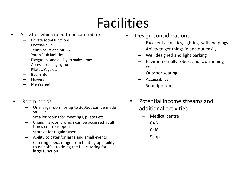## Facilities

- Activities which need to be catered for
	- Private social functions
	- Football club
	- Tennis court and MUGA
	- Youth Club facilities
	- Playgroups and ability to make a mess
	- Access to changing room
	- Pilates/Yoga etc
	- Badminton
	- Flowers
	- Men's shed
- Room needs
	- One large room for up to 200but can be made smaller
	- Smaller rooms for meetings, pilates etc
	- Changing rooms which can be accessed at all times centre is open
	- Storage for regular users
	- Ability to cater for large and small events
	- Catering needs range from heating up, ability to do coffee to doing the full catering for a large function
- Design considerations
	- Excellent acoustics, lighting, wifi and plugs
	- Ability to get things in and out easily
	- Well designed and light parking
	- Environmentally robust and low running costs
	- Outdoor seating
	- Accessibilty
	- Soundproofing
	- Potential income streams and additional activities
		- Medical centre
		- CAB
		- Café
		- Shop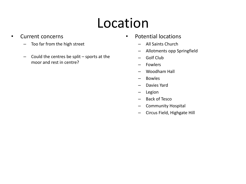## Location

- Current concerns
	- Too far from the high street
	- Could the centres be split sports at the moor and rest in centre?
- Potential locations
	- All Saints Church
	- Allotments opp Springfield
	- Golf Club
	- Fowlers
	- Woodham Hall
	- Bowles
	- Davies Yard
	- Legion
	- Back of Tesco
	- Community Hospital
	- Circus Field, Highgate Hill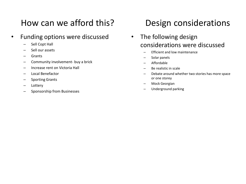### How can we afford this?

- Funding options were discussed
	- Sell Copt Hall
	- Sell our assets
	- Grants
	- Community involvement- buy a brick
	- Increase rent on Victoria Hall
	- Local Benefactor
	- Sporting Grants
	- Lottery
	- Sponsorship from Businesses

#### Design considerations

- The following design considerations were discussed
	- Efficient and low maintenance
	- Solar panels
	- Affordable
	- Be realistic in scale
	- Debate around whether two stories has more space or one storey
	- Mock Georgian
	- Underground parking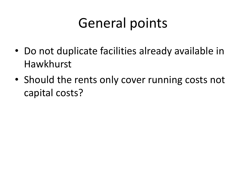### General points

- Do not duplicate facilities already available in Hawkhurst
- Should the rents only cover running costs not capital costs?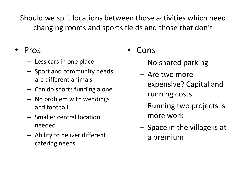Should we split locations between those activities which need changing rooms and sports fields and those that don't

#### • Pros

- Less cars in one place
- Sport and community needs are different animals
- Can do sports funding alone
- No problem with weddings and football
- Smaller central location needed
- Ability to deliver different catering needs
- Cons
	- No shared parking
	- Are two more expensive? Capital and running costs
	- Running two projects is more work
	- Space in the village is at a premium